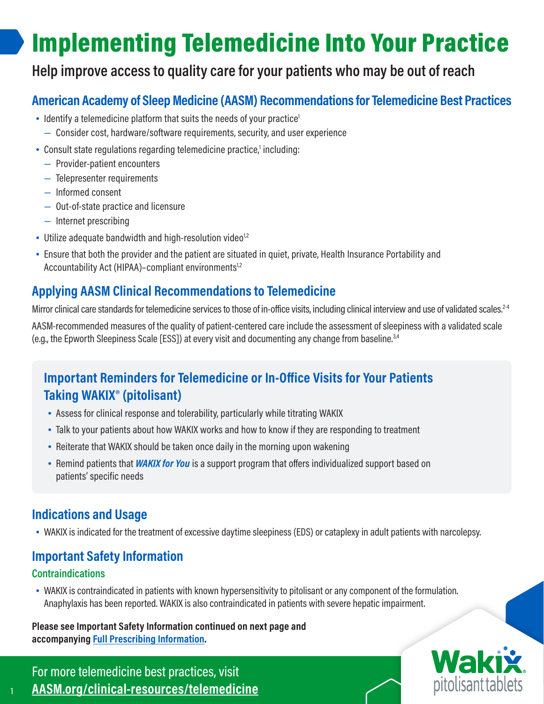# Implementing Telemedicine Into Your Practice

# **Help improve access to quality care for your patients who may be out of reach**

## **American Academy of Sleep Medicine (AASM) Recommendations for Telemedicine Best Practices**

- $\bullet$  Identify a telemedicine platform that suits the needs of your practice<sup>1</sup>
	- Consider cost, hardware/software requirements, security, and user experience
- Consult state regulations regarding telemedicine practice,<sup>1</sup> including:
	- Provider-patient encounters
	- Telepresenter requirements
	- Informed consent
	- Out-of-state practice and licensure
	- Internet prescribing
- Utilize adequate bandwidth and high-resolution video $1/2$
- Ensure that both the provider and the patient are situated in quiet, private, Health Insurance Portability and Accountability Act (HIPAA)–compliant environments<sup>1,2</sup>

## **Applying AASM Clinical Recommendations to Telemedicine**

Mirror clinical care standards for telemedicine services to those of in-office visits, including clinical interview and use of validated scales.<sup>2-4</sup> AASM-recommended measures of the quality of patient-centered care include the assessment of sleepiness with a validated scale (e.g., the Epworth Sleepiness Scale [ESS]) at every visit and documenting any change from baseline.3,4

# **Important Reminders for Telemedicine or In-Office Visits for Your Patients Taking WAKIX® (pitolisant)**

- Assess for clinical response and tolerability, particularly while titrating WAKIX
- Talk to your patients about how WAKIX works and how to know if they are responding to treatment
- Reiterate that WAKIX should be taken once daily in the morning upon wakening
- Remind patients that *WAKIX for You* is a support program that offers individualized support based on patients' specific needs

## **Indications and Usage**

• WAKIX is indicated for the treatment of excessive daytime sleepiness (EDS) or cataplexy in adult patients with narcolepsy.

# **Important Safety Information**

## **Contraindications**

1

• WAKIX is contraindicated in patients with known hypersensitivity to pitolisant or any component of the formulation. Anaphylaxis has been reported. WAKIX is also contraindicated in patients with severe hepatic impairment.

#### **Please see Important Safety Information continued on next page and accompanying [Full Prescribing Information.](https://wakixhcp.com/prescribing-information)**

For more telemedicine best practices, visit **[AASM.org/clinical-resources/telemedicine](https://aasm.org/clinical-resources/telemedicine)**